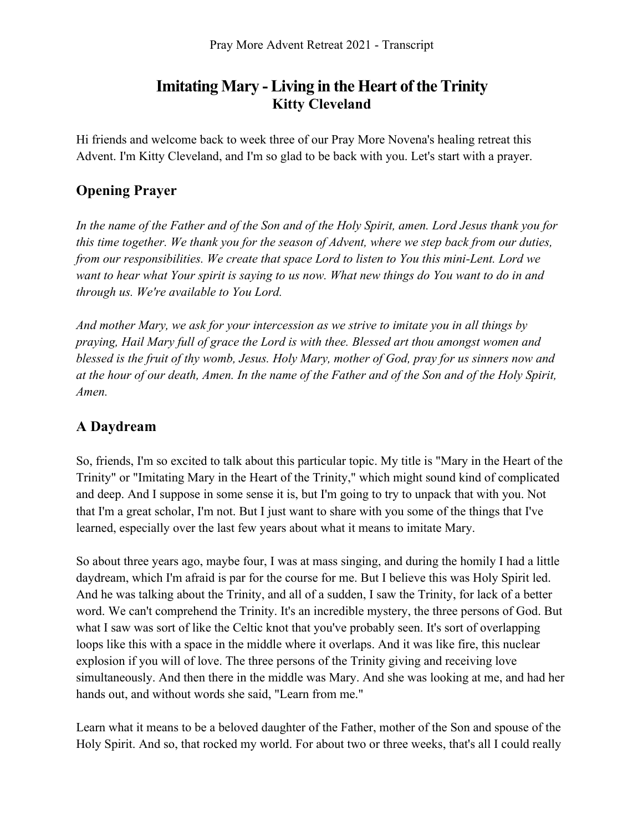# **Imitating Mary - Living in the Heart of the Trinity Kitty Cleveland**

Hi friends and welcome back to week three of our Pray More Novena's healing retreat this Advent. I'm Kitty Cleveland, and I'm so glad to be back with you. Let's start with a prayer.

## **Opening Prayer**

*In the name of the Father and of the Son and of the Holy Spirit, amen. Lord Jesus thank you for this time together. We thank you for the season of Advent, where we step back from our duties, from our responsibilities. We create that space Lord to listen to You this mini-Lent. Lord we want to hear what Your spirit is saying to us now. What new things do You want to do in and through us. We're available to You Lord.* 

*And mother Mary, we ask for your intercession as we strive to imitate you in all things by praying, Hail Mary full of grace the Lord is with thee. Blessed art thou amongst women and blessed is the fruit of thy womb, Jesus. Holy Mary, mother of God, pray for us sinners now and at the hour of our death, Amen. In the name of the Father and of the Son and of the Holy Spirit, Amen.* 

### **A Daydream**

So, friends, I'm so excited to talk about this particular topic. My title is "Mary in the Heart of the Trinity" or "Imitating Mary in the Heart of the Trinity," which might sound kind of complicated and deep. And I suppose in some sense it is, but I'm going to try to unpack that with you. Not that I'm a great scholar, I'm not. But I just want to share with you some of the things that I've learned, especially over the last few years about what it means to imitate Mary.

So about three years ago, maybe four, I was at mass singing, and during the homily I had a little daydream, which I'm afraid is par for the course for me. But I believe this was Holy Spirit led. And he was talking about the Trinity, and all of a sudden, I saw the Trinity, for lack of a better word. We can't comprehend the Trinity. It's an incredible mystery, the three persons of God. But what I saw was sort of like the Celtic knot that you've probably seen. It's sort of overlapping loops like this with a space in the middle where it overlaps. And it was like fire, this nuclear explosion if you will of love. The three persons of the Trinity giving and receiving love simultaneously. And then there in the middle was Mary. And she was looking at me, and had her hands out, and without words she said, "Learn from me."

Learn what it means to be a beloved daughter of the Father, mother of the Son and spouse of the Holy Spirit. And so, that rocked my world. For about two or three weeks, that's all I could really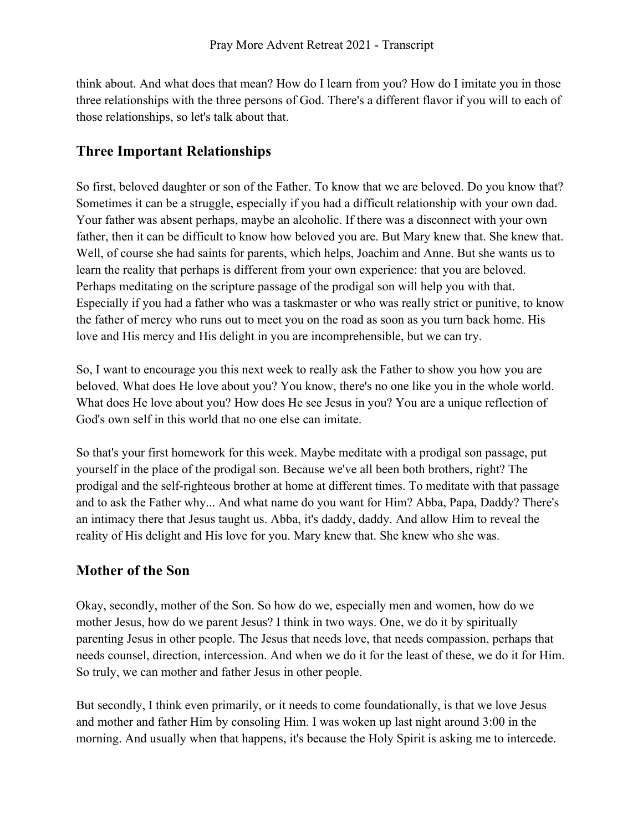think about. And what does that mean? How do I learn from you? How do I imitate you in those three relationships with the three persons of God. There's a different flavor if you will to each of those relationships, so let's talk about that.

## **Three Important Relationships**

So first, beloved daughter or son of the Father. To know that we are beloved. Do you know that? Sometimes it can be a struggle, especially if you had a difficult relationship with your own dad. Your father was absent perhaps, maybe an alcoholic. If there was a disconnect with your own father, then it can be difficult to know how beloved you are. But Mary knew that. She knew that. Well, of course she had saints for parents, which helps, Joachim and Anne. But she wants us to learn the reality that perhaps is different from your own experience: that you are beloved. Perhaps meditating on the scripture passage of the prodigal son will help you with that. Especially if you had a father who was a taskmaster or who was really strict or punitive, to know the father of mercy who runs out to meet you on the road as soon as you turn back home. His love and His mercy and His delight in you are incomprehensible, but we can try.

So, I want to encourage you this next week to really ask the Father to show you how you are beloved. What does He love about you? You know, there's no one like you in the whole world. What does He love about you? How does He see Jesus in you? You are a unique reflection of God's own self in this world that no one else can imitate.

So that's your first homework for this week. Maybe meditate with a prodigal son passage, put yourself in the place of the prodigal son. Because we've all been both brothers, right? The prodigal and the self-righteous brother at home at different times. To meditate with that passage and to ask the Father why... And what name do you want for Him? Abba, Papa, Daddy? There's an intimacy there that Jesus taught us. Abba, it's daddy, daddy. And allow Him to reveal the reality of His delight and His love for you. Mary knew that. She knew who she was.

## **Mother of the Son**

Okay, secondly, mother of the Son. So how do we, especially men and women, how do we mother Jesus, how do we parent Jesus? I think in two ways. One, we do it by spiritually parenting Jesus in other people. The Jesus that needs love, that needs compassion, perhaps that needs counsel, direction, intercession. And when we do it for the least of these, we do it for Him. So truly, we can mother and father Jesus in other people.

But secondly, I think even primarily, or it needs to come foundationally, is that we love Jesus and mother and father Him by consoling Him. I was woken up last night around 3:00 in the morning. And usually when that happens, it's because the Holy Spirit is asking me to intercede.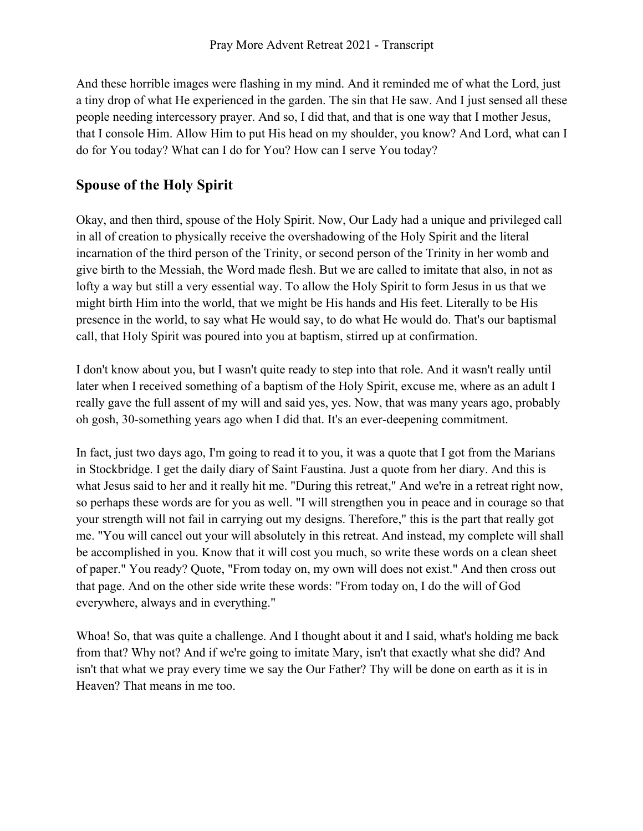And these horrible images were flashing in my mind. And it reminded me of what the Lord, just a tiny drop of what He experienced in the garden. The sin that He saw. And I just sensed all these people needing intercessory prayer. And so, I did that, and that is one way that I mother Jesus, that I console Him. Allow Him to put His head on my shoulder, you know? And Lord, what can I do for You today? What can I do for You? How can I serve You today?

### **Spouse of the Holy Spirit**

Okay, and then third, spouse of the Holy Spirit. Now, Our Lady had a unique and privileged call in all of creation to physically receive the overshadowing of the Holy Spirit and the literal incarnation of the third person of the Trinity, or second person of the Trinity in her womb and give birth to the Messiah, the Word made flesh. But we are called to imitate that also, in not as lofty a way but still a very essential way. To allow the Holy Spirit to form Jesus in us that we might birth Him into the world, that we might be His hands and His feet. Literally to be His presence in the world, to say what He would say, to do what He would do. That's our baptismal call, that Holy Spirit was poured into you at baptism, stirred up at confirmation.

I don't know about you, but I wasn't quite ready to step into that role. And it wasn't really until later when I received something of a baptism of the Holy Spirit, excuse me, where as an adult I really gave the full assent of my will and said yes, yes. Now, that was many years ago, probably oh gosh, 30-something years ago when I did that. It's an ever-deepening commitment.

In fact, just two days ago, I'm going to read it to you, it was a quote that I got from the Marians in Stockbridge. I get the daily diary of Saint Faustina. Just a quote from her diary. And this is what Jesus said to her and it really hit me. "During this retreat," And we're in a retreat right now, so perhaps these words are for you as well. "I will strengthen you in peace and in courage so that your strength will not fail in carrying out my designs. Therefore," this is the part that really got me. "You will cancel out your will absolutely in this retreat. And instead, my complete will shall be accomplished in you. Know that it will cost you much, so write these words on a clean sheet of paper." You ready? Quote, "From today on, my own will does not exist." And then cross out that page. And on the other side write these words: "From today on, I do the will of God everywhere, always and in everything."

Whoa! So, that was quite a challenge. And I thought about it and I said, what's holding me back from that? Why not? And if we're going to imitate Mary, isn't that exactly what she did? And isn't that what we pray every time we say the Our Father? Thy will be done on earth as it is in Heaven? That means in me too.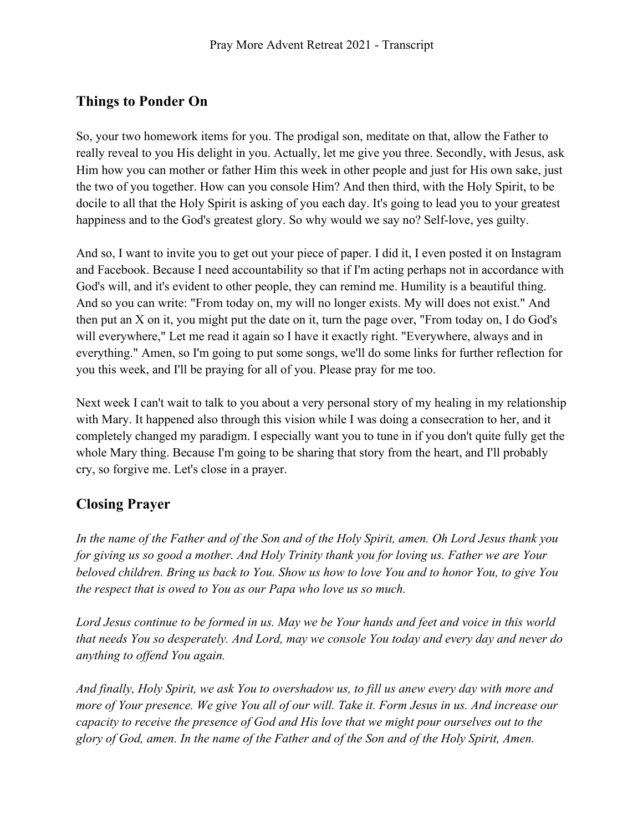### **Things to Ponder On**

So, your two homework items for you. The prodigal son, meditate on that, allow the Father to really reveal to you His delight in you. Actually, let me give you three. Secondly, with Jesus, ask Him how you can mother or father Him this week in other people and just for His own sake, just the two of you together. How can you console Him? And then third, with the Holy Spirit, to be docile to all that the Holy Spirit is asking of you each day. It's going to lead you to your greatest happiness and to the God's greatest glory. So why would we say no? Self-love, yes guilty.

And so, I want to invite you to get out your piece of paper. I did it, I even posted it on Instagram and Facebook. Because I need accountability so that if I'm acting perhaps not in accordance with God's will, and it's evident to other people, they can remind me. Humility is a beautiful thing. And so you can write: "From today on, my will no longer exists. My will does not exist." And then put an X on it, you might put the date on it, turn the page over, "From today on, I do God's will everywhere," Let me read it again so I have it exactly right. "Everywhere, always and in everything." Amen, so I'm going to put some songs, we'll do some links for further reflection for you this week, and I'll be praying for all of you. Please pray for me too.

Next week I can't wait to talk to you about a very personal story of my healing in my relationship with Mary. It happened also through this vision while I was doing a consecration to her, and it completely changed my paradigm. I especially want you to tune in if you don't quite fully get the whole Mary thing. Because I'm going to be sharing that story from the heart, and I'll probably cry, so forgive me. Let's close in a prayer.

#### **Closing Prayer**

*In the name of the Father and of the Son and of the Holy Spirit, amen. Oh Lord Jesus thank you for giving us so good a mother. And Holy Trinity thank you for loving us. Father we are Your beloved children. Bring us back to You. Show us how to love You and to honor You, to give You the respect that is owed to You as our Papa who love us so much.* 

*Lord Jesus continue to be formed in us. May we be Your hands and feet and voice in this world that needs You so desperately. And Lord, may we console You today and every day and never do anything to offend You again.* 

*And finally, Holy Spirit, we ask You to overshadow us, to fill us anew every day with more and more of Your presence. We give You all of our will. Take it. Form Jesus in us. And increase our capacity to receive the presence of God and His love that we might pour ourselves out to the glory of God, amen. In the name of the Father and of the Son and of the Holy Spirit, Amen.*